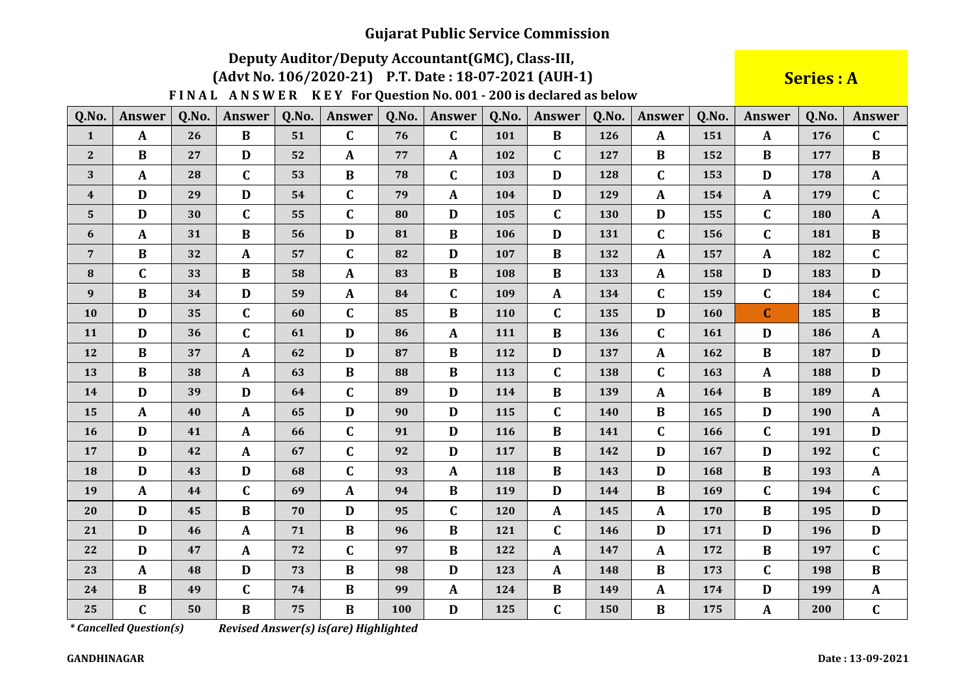# Deputy Auditor/Deputy Accountant(GMC), Class-III,

#### (Advt No. 106/2020-21) P.T. Date: 18-07-2021 (AUH-1)

FINAL ANSWER KEY For Question No. 001 - 200 is declared as below

**Series: A** 

| Q.No.          | <b>Answer</b> | Q.No. | <b>Answer</b> | Q.No. | <b>Answer</b> | Q.No. | Answer       | Q.No. | <b>Answer</b> | Q.No. | <b>Answer</b> | Q.No. | <b>Answer</b> | Q.No. | Answer       |
|----------------|---------------|-------|---------------|-------|---------------|-------|--------------|-------|---------------|-------|---------------|-------|---------------|-------|--------------|
| $\mathbf{1}$   | $\mathbf{A}$  | 26    | $\bf{B}$      | 51    | $\mathbf C$   | 76    | $\mathbf C$  | 101   | $\bf{B}$      | 126   | $\mathbf{A}$  | 151   | $\mathbf{A}$  | 176   | $\mathbf C$  |
| $\mathbf{2}$   | $\bf{B}$      | 27    | D             | 52    | $\mathbf{A}$  | 77    | $\mathbf{A}$ | 102   | $\mathbf C$   | 127   | $\bf{B}$      | 152   | B             | 177   | $\bf{B}$     |
| 3              | $\mathbf{A}$  | 28    | $\mathbf C$   | 53    | $\bf{B}$      | 78    | $\mathbf C$  | 103   | D             | 128   | $\mathbf C$   | 153   | D             | 178   | $\mathbf{A}$ |
| 4              | D             | 29    | D             | 54    | $\mathbf C$   | 79    | $\mathbf{A}$ | 104   | D             | 129   | $\mathbf{A}$  | 154   | $\mathbf{A}$  | 179   | $\mathbf C$  |
| 5              | D             | 30    | $\mathbf C$   | 55    | $\mathbf C$   | 80    | D            | 105   | $\mathbf C$   | 130   | D             | 155   | $\mathbf C$   | 180   | $\mathbf{A}$ |
| 6              | $\mathbf{A}$  | 31    | $\bf{B}$      | 56    | D             | 81    | $\bf{B}$     | 106   | D             | 131   | $\mathbf{C}$  | 156   | $\mathbf C$   | 181   | $\bf{B}$     |
| $\overline{7}$ | $\bf{B}$      | 32    | $\mathbf{A}$  | 57    | $\mathbf C$   | 82    | D            | 107   | $\bf{B}$      | 132   | $\mathbf{A}$  | 157   | $\mathbf{A}$  | 182   | $\mathbf{C}$ |
| 8              | $\mathbf C$   | 33    | $\bf{B}$      | 58    | $\mathbf{A}$  | 83    | $\bf{B}$     | 108   | $\bf{B}$      | 133   | $\mathbf{A}$  | 158   | $\mathbf{D}$  | 183   | D            |
| 9              | $\bf{B}$      | 34    | D             | 59    | $\mathbf{A}$  | 84    | $\mathbf C$  | 109   | $\mathbf{A}$  | 134   | $\mathbf C$   | 159   | $\mathbf C$   | 184   | $\mathbf C$  |
| 10             | D             | 35    | $\mathbf C$   | 60    | C             | 85    | $\bf{B}$     | 110   | $\mathbf C$   | 135   | D             | 160   | $\mathbf C$   | 185   | $\bf{B}$     |
| 11             | D             | 36    | $\mathbf C$   | 61    | $\mathbf{D}$  | 86    | $\mathbf{A}$ | 111   | $\, {\bf B}$  | 136   | $\mathbf C$   | 161   | $\mathbf D$   | 186   | $\mathbf{A}$ |
| 12             | $\bf{B}$      | 37    | $\mathbf{A}$  | 62    | D             | 87    | $\bf{B}$     | 112   | D             | 137   | $\mathbf{A}$  | 162   | $\bf{B}$      | 187   | D            |
| 13             | $\mathbf{B}$  | 38    | $\mathbf{A}$  | 63    | $\bf{B}$      | 88    | $\, {\bf B}$ | 113   | $\mathbf C$   | 138   | $\mathbf{C}$  | 163   | $\mathbf{A}$  | 188   | $\mathbf{D}$ |
| 14             | D             | 39    | D             | 64    | $\mathbf C$   | 89    | D            | 114   | $\bf{B}$      | 139   | $\mathbf{A}$  | 164   | $\bf{B}$      | 189   | $\mathbf{A}$ |
| 15             | $\mathbf{A}$  | 40    | $\mathbf{A}$  | 65    | D             | 90    | D            | 115   | $\mathbf C$   | 140   | $\bf{B}$      | 165   | $\mathbf{D}$  | 190   | $\mathbf{A}$ |
| 16             | $\mathbf{D}$  | 41    | $\mathbf{A}$  | 66    | $\mathbf C$   | 91    | $\mathbf D$  | 116   | $\bf{B}$      | 141   | $\mathbf C$   | 166   | C             | 191   | D            |
| 17             | D             | 42    | A             | 67    | $\mathbf C$   | 92    | D            | 117   | $\bf{B}$      | 142   | D             | 167   | $\mathbf D$   | 192   | $\mathbf{C}$ |
| 18             | D             | 43    | D             | 68    | $\mathbf C$   | 93    | $\mathbf{A}$ | 118   | $\bf{B}$      | 143   | D             | 168   | B             | 193   | $\mathbf{A}$ |
| 19             | $\mathbf{A}$  | 44    | $\mathbf C$   | 69    | $\mathbf{A}$  | 94    | $\bf{B}$     | 119   | D             | 144   | $\bf{B}$      | 169   | $\mathbf{C}$  | 194   | $\mathbf{C}$ |
| 20             | D             | 45    | $\bf{B}$      | 70    | D             | 95    | $\mathbf C$  | 120   | $\mathbf{A}$  | 145   | $\mathbf{A}$  | 170   | $\bf{B}$      | 195   | D            |
| 21             | D             | 46    | $\mathbf{A}$  | 71    | $\bf{B}$      | 96    | $\bf{B}$     | 121   | $\mathbf C$   | 146   | D             | 171   | D             | 196   | D            |
| 22             | D             | 47    | $\mathbf{A}$  | 72    | $\mathbf C$   | 97    | $\bf{B}$     | 122   | $\mathbf{A}$  | 147   | $\mathbf{A}$  | 172   | B             | 197   | $\mathbf C$  |
| 23             | $\mathbf{A}$  | 48    | D             | 73    | $\bf{B}$      | 98    | $\mathbf D$  | 123   | $\mathbf{A}$  | 148   | B             | 173   | C             | 198   | $\bf{B}$     |
| 24             | $\bf{B}$      | 49    | $\mathbf C$   | 74    | $\bf{B}$      | 99    | $\mathbf{A}$ | 124   | $\bf{B}$      | 149   | $\mathbf{A}$  | 174   | D             | 199   | $\mathbf{A}$ |
| 25             | $\mathbf C$   | 50    | $\bf{B}$      | 75    | $\bf{B}$      | 100   | $\mathbf D$  | 125   | $\mathbf C$   | 150   | B             | 175   | $\mathbf{A}$  | 200   | $\mathbf{C}$ |

*\* Cancelled Question(s)* 

Revised Answer(s) is(are) Highlighted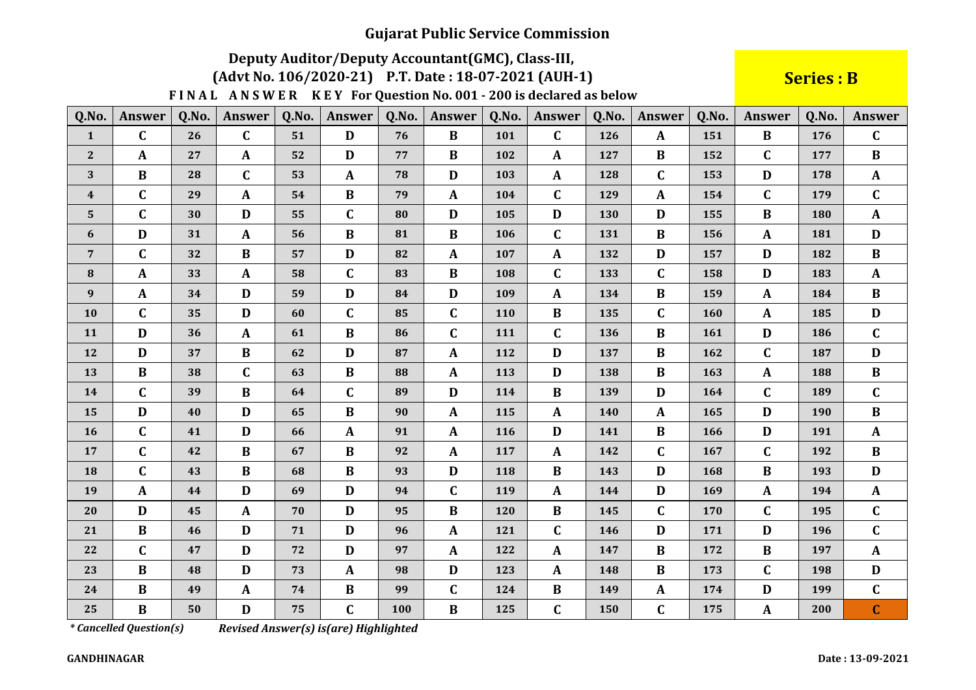# Deputy Auditor/Deputy Accountant(GMC), Class-III,

#### (Advt No. 106/2020-21) P.T. Date: 18-07-2021 (AUH-1)

FINAL ANSWER KEY For Question No. 001 - 200 is declared as below

**Series: B** 

| Q.No.          | <b>Answer</b> | Q.No. | Answer       | Q.No. | <b>Answer</b> | Q.No. | Answer       | Q.No.      | <b>Answer</b> | Q.No. | <b>Answer</b> | Q.No.      | <b>Answer</b> | Q.No. | Answer       |
|----------------|---------------|-------|--------------|-------|---------------|-------|--------------|------------|---------------|-------|---------------|------------|---------------|-------|--------------|
| $\mathbf{1}$   | $\mathbf C$   | 26    | $\mathbf C$  | 51    | D             | 76    | $\bf{B}$     | 101        | $\mathbf C$   | 126   | $\mathbf{A}$  | 151        | $\bf{B}$      | 176   | $\mathbf C$  |
| $\mathbf{2}$   | A             | 27    | A            | 52    | D             | 77    | $\bf{B}$     | 102        | A             | 127   | $\bf{B}$      | 152        | C             | 177   | $\bf{B}$     |
| 3              | $\bf{B}$      | 28    | C            | 53    | $\mathbf{A}$  | 78    | D            | 103        | A             | 128   | $\mathbf{C}$  | 153        | D             | 178   | $\mathbf{A}$ |
| 4              | $\mathbf C$   | 29    | A            | 54    | $\bf{B}$      | 79    | $\mathbf{A}$ | 104        | $\mathbf C$   | 129   | $\mathbf{A}$  | 154        | $\mathbf C$   | 179   | $\mathbf C$  |
| $5\phantom{.}$ | $\mathbf{C}$  | 30    | D            | 55    | $\mathbf C$   | 80    | D            | 105        | D             | 130   | D             | 155        | B             | 180   | $\mathbf{A}$ |
| 6              | $\mathbf{D}$  | 31    | A            | 56    | $\bf{B}$      | 81    | $\bf{B}$     | 106        | $\mathbf C$   | 131   | $\bf{B}$      | 156        | $\mathbf{A}$  | 181   | $\mathbf{D}$ |
| $\overline{7}$ | $\mathbf C$   | 32    | $\bf{B}$     | 57    | D             | 82    | $\mathbf{A}$ | 107        | $\mathbf{A}$  | 132   | D             | 157        | D             | 182   | $\bf{B}$     |
| 8              | A             | 33    | A            | 58    | $\mathbf C$   | 83    | $\bf{B}$     | 108        | $\mathbf C$   | 133   | $\mathbf{C}$  | 158        | D             | 183   | $\mathbf{A}$ |
| 9              | $\mathbf{A}$  | 34    | D            | 59    | D             | 84    | D            | 109        | A             | 134   | $\bf{B}$      | 159        | $\mathbf{A}$  | 184   | $\bf{B}$     |
| 10             | $\mathbf C$   | 35    | D            | 60    | $\mathbf C$   | 85    | $\mathbf C$  | <b>110</b> | B             | 135   | $\mathbf{C}$  | <b>160</b> | $\mathbf{A}$  | 185   | D            |
| 11             | D             | 36    | $\mathbf{A}$ | 61    | $\bf{B}$      | 86    | $\mathbf C$  | 111        | $\mathbf C$   | 136   | $\bf{B}$      | 161        | D             | 186   | $\mathbf C$  |
| 12             | D             | 37    | $\bf{B}$     | 62    | D             | 87    | $\mathbf{A}$ | 112        | D             | 137   | $\bf{B}$      | 162        | $\mathbf C$   | 187   | $\mathbf{D}$ |
| 13             | $\bf{B}$      | 38    | $\mathbf C$  | 63    | $\bf{B}$      | 88    | $\mathbf{A}$ | 113        | D             | 138   | $\bf{B}$      | 163        | $\mathbf{A}$  | 188   | $\bf{B}$     |
| 14             | $\mathbf C$   | 39    | $\bf{B}$     | 64    | $\mathbf C$   | 89    | D            | 114        | B             | 139   | D             | 164        | $\mathbf C$   | 189   | $\mathbf C$  |
| 15             | D             | 40    | D            | 65    | $\bf{B}$      | 90    | $\mathbf{A}$ | 115        | A             | 140   | $\mathbf{A}$  | 165        | D             | 190   | $\bf{B}$     |
| 16             | $\mathbf C$   | 41    | D            | 66    | $\mathbf{A}$  | 91    | $\mathbf{A}$ | 116        | D             | 141   | $\bf{B}$      | 166        | D             | 191   | $\mathbf{A}$ |
| 17             | $\mathbf C$   | 42    | $\bf{B}$     | 67    | $\bf{B}$      | 92    | $\mathbf{A}$ | 117        | $\mathbf{A}$  | 142   | $\mathbf C$   | 167        | $\mathbf C$   | 192   | $\bf{B}$     |
| 18             | $\mathbf C$   | 43    | $\bf{B}$     | 68    | $\bf{B}$      | 93    | D            | 118        | $\bf{B}$      | 143   | D             | 168        | B             | 193   | D            |
| 19             | A             | 44    | D            | 69    | D             | 94    | $\mathbf C$  | 119        | $\mathbf{A}$  | 144   | D             | 169        | $\mathbf{A}$  | 194   | $\mathbf{A}$ |
| 20             | $\mathbf{D}$  | 45    | $\mathbf A$  | 70    | D             | 95    | $\bf{B}$     | 120        | $\bf{B}$      | 145   | $\mathbf{C}$  | 170        | $\mathbf C$   | 195   | $\mathbf C$  |
| 21             | $\bf{B}$      | 46    | D            | 71    | D             | 96    | $\mathbf{A}$ | 121        | $\mathbf C$   | 146   | D             | 171        | D             | 196   | $\mathbf C$  |
| 22             | $\mathbf{C}$  | 47    | D            | 72    | D             | 97    | $\mathbf{A}$ | 122        | $\mathbf{A}$  | 147   | $\bf{B}$      | 172        | $\bf{B}$      | 197   | $\mathbf{A}$ |
| 23             | $\bf{B}$      | 48    | D            | 73    | $\mathbf{A}$  | 98    | D            | 123        | A             | 148   | $\bf{B}$      | 173        | $\mathbf C$   | 198   | D            |
| 24             | $\bf{B}$      | 49    | $\mathbf{A}$ | 74    | $\bf{B}$      | 99    | $\mathbf C$  | 124        | $\bf{B}$      | 149   | $\mathbf{A}$  | 174        | D             | 199   | $\mathbf C$  |
| 25             | $\bf{B}$      | 50    | D            | 75    | $\mathbf C$   | 100   | $\bf{B}$     | 125        | $\mathbf C$   | 150   | $\mathbf C$   | 175        | A             | 200   | $\mathbf C$  |

*\* Cancelled Question(s)* 

Revised Answer(s) is(are) Highlighted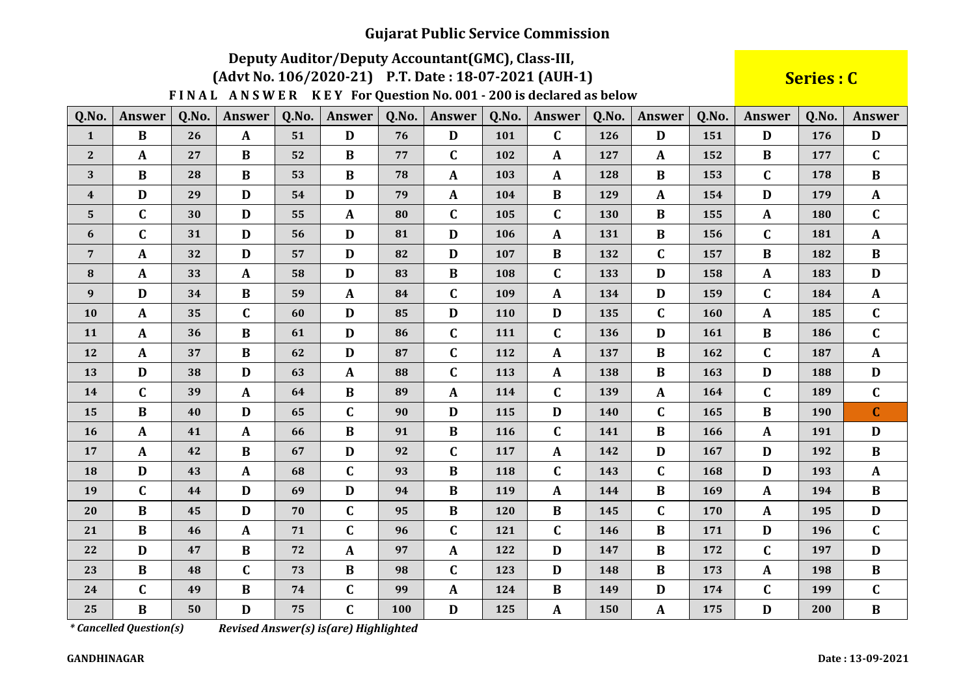# Deputy Auditor/Deputy Accountant(GMC), Class-III,

#### (Advt No. 106/2020-21) P.T. Date: 18-07-2021 (AUH-1)

FINAL ANSWER KEY For Question No. 001 - 200 is declared as below

Series : C

| Q.No.          | <b>Answer</b> | Q.No. | <b>Answer</b> | Q.No. | <b>Answer</b> | Q.No. | <b>Answer</b> | Q.No.      | <b>Answer</b> | Q.No.      | <b>Answer</b> | Q.No. | <b>Answer</b> | Q.No.      | <b>Answer</b> |
|----------------|---------------|-------|---------------|-------|---------------|-------|---------------|------------|---------------|------------|---------------|-------|---------------|------------|---------------|
| $\mathbf{1}$   | $\bf{B}$      | 26    | $\mathbf{A}$  | 51    | D             | 76    | D             | 101        | $\mathbf C$   | 126        | D             | 151   | D             | 176        | D             |
| $\mathbf{2}$   | A             | 27    | $\bf{B}$      | 52    | $\bf{B}$      | 77    | $\mathbf C$   | 102        | A             | 127        | $\mathbf{A}$  | 152   | $\bf{B}$      | 177        | $\mathbf{C}$  |
| 3              | $\bf{B}$      | 28    | B             | 53    | $\bf{B}$      | 78    | $\mathbf{A}$  | 103        | $\mathbf{A}$  | 128        | $\bf{B}$      | 153   | $\mathbf C$   | 178        | $\bf{B}$      |
| 4              | D             | 29    | D             | 54    | D             | 79    | $\mathbf{A}$  | 104        | $\bf{B}$      | 129        | A             | 154   | $\mathbf{D}$  | 179        | $\mathbf{A}$  |
| $5\phantom{.}$ | $\mathbf C$   | 30    | $\mathbf D$   | 55    | $\mathbf{A}$  | 80    | $\mathbf C$   | 105        | $\mathbf C$   | 130        | $\bf{B}$      | 155   | $\mathbf{A}$  | 180        | $\mathbf C$   |
| 6              | $\mathbf C$   | 31    | D             | 56    | D             | 81    | $\mathbf{D}$  | 106        | $\mathbf A$   | 131        | $\bf{B}$      | 156   | $\mathbf C$   | 181        | $\mathbf A$   |
| $\overline{7}$ | $\mathbf{A}$  | 32    | D             | 57    | D             | 82    | D             | 107        | $\bf{B}$      | 132        | $\mathbf{C}$  | 157   | $\bf{B}$      | 182        | $\bf{B}$      |
| 8              | $\mathbf{A}$  | 33    | $\mathbf{A}$  | 58    | D             | 83    | $\bf{B}$      | 108        | $\mathbf C$   | 133        | D             | 158   | $\mathbf{A}$  | 183        | D             |
| 9              | D             | 34    | $\bf{B}$      | 59    | $\mathbf{A}$  | 84    | $\mathbf C$   | 109        | A             | 134        | D             | 159   | $\mathbf C$   | 184        | $\mathbf{A}$  |
| 10             | $\mathbf{A}$  | 35    | $\mathbf C$   | 60    | D             | 85    | D             | <b>110</b> | D             | 135        | $\mathbf{C}$  | 160   | A             | 185        | $\mathbf{C}$  |
| 11             | A             | 36    | B             | 61    | D             | 86    | $\mathbf C$   | 111        | $\mathbf C$   | 136        | D             | 161   | $\bf{B}$      | 186        | $\mathbf C$   |
| 12             | $\mathbf{A}$  | 37    | $\bf{B}$      | 62    | D             | 87    | $\mathbf C$   | 112        | $\mathbf{A}$  | 137        | $\bf{B}$      | 162   | $\mathbf C$   | 187        | $\mathbf{A}$  |
| 13             | D             | 38    | D             | 63    | $\mathbf{A}$  | 88    | $\mathbf C$   | 113        | $\mathbf{A}$  | 138        | $\bf{B}$      | 163   | $\mathbf{D}$  | 188        | $\mathbf{D}$  |
| 14             | $\mathbf{C}$  | 39    | $\mathbf{A}$  | 64    | $\bf{B}$      | 89    | $\mathbf{A}$  | 114        | $\mathbf C$   | 139        | $\mathbf{A}$  | 164   | $\mathbf{C}$  | 189        | $\mathbf C$   |
| 15             | $\bf{B}$      | 40    | D             | 65    | $\mathbf C$   | 90    | D             | 115        | D             | <b>140</b> | $\mathbf C$   | 165   | $\bf{B}$      | <b>190</b> | $\mathbf{C}$  |
| 16             | $\mathbf{A}$  | 41    | $\mathbf{A}$  | 66    | $\bf{B}$      | 91    | $\bf{B}$      | 116        | $\mathbf C$   | 141        | $\bf{B}$      | 166   | $\mathbf{A}$  | 191        | D             |
| 17             | $\mathbf{A}$  | 42    | B             | 67    | D             | 92    | $\mathbf C$   | 117        | $\mathbf{A}$  | 142        | D             | 167   | $\mathbf{D}$  | 192        | $\bf{B}$      |
| 18             | $\mathbf{D}$  | 43    | $\mathbf{A}$  | 68    | $\mathbf C$   | 93    | $\bf{B}$      | 118        | $\mathbf C$   | 143        | $\mathbf{C}$  | 168   | $\mathbf{D}$  | 193        | $\mathbf A$   |
| 19             | $\mathbf C$   | 44    | D             | 69    | D             | 94    | B             | 119        | $\mathbf A$   | 144        | $\bf{B}$      | 169   | $\mathbf{A}$  | 194        | $\bf{B}$      |
| 20             | $\bf{B}$      | 45    | D             | 70    | $\mathbf C$   | 95    | $\bf{B}$      | <b>120</b> | $\bf{B}$      | 145        | $\mathbf C$   | 170   | $\mathbf{A}$  | 195        | $\mathbf{D}$  |
| 21             | $\bf{B}$      | 46    | $\mathbf{A}$  | 71    | $\mathbf C$   | 96    | $\mathbf C$   | 121        | $\mathbf C$   | 146        | $\bf{B}$      | 171   | D             | 196        | $\mathbf{C}$  |
| 22             | D             | 47    | $\bf{B}$      | 72    | $\mathbf{A}$  | 97    | $\mathbf{A}$  | 122        | D             | 147        | B             | 172   | $\mathbf{C}$  | 197        | D             |
| 23             | $\bf{B}$      | 48    | $\mathbf C$   | 73    | $\bf{B}$      | 98    | $\mathbf C$   | 123        | D             | 148        | B             | 173   | A             | 198        | $\bf{B}$      |
| 24             | $\mathbf C$   | 49    | $\bf{B}$      | 74    | C             | 99    | $\mathbf{A}$  | 124        | $\, {\bf B}$  | 149        | D             | 174   | $\mathbf C$   | 199        | $\mathbf{C}$  |
| 25             | $\bf{B}$      | 50    | D             | 75    | $\mathbf C$   | 100   | $\mathbf D$   | 125        | $\mathbf{A}$  | 150        | $\mathbf{A}$  | 175   | $\mathbf{D}$  | 200        | $\bf{B}$      |

*\* Cancelled Question(s)*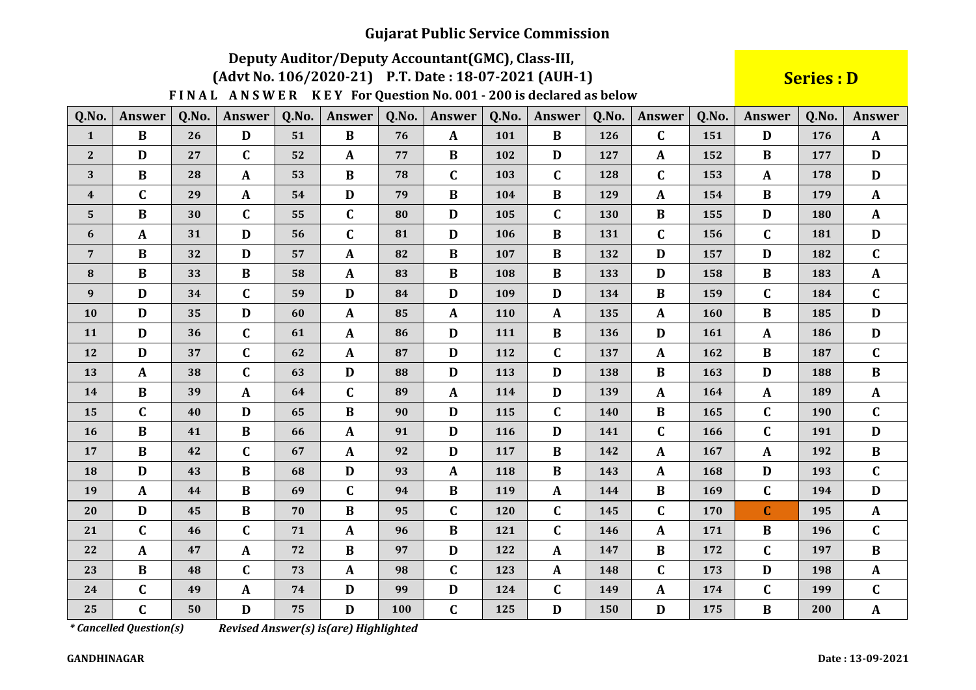# Deputy Auditor/Deputy Accountant(GMC), Class-III,

#### (Advt No. 106/2020-21) P.T. Date: 18-07-2021 (AUH-1)

FINAL ANSWER KEY For Question No. 001 - 200 is declared as below

**Series: D** 

| Q.No.            | <b>Answer</b> | Q.No. | <b>Answer</b> | Q.No. | <b>Answer</b> | Q.No. | Answer       | Q.No. | <b>Answer</b> | Q.No. | <b>Answer</b> | Q.No. | <b>Answer</b> | Q.No. | <b>Answer</b> |
|------------------|---------------|-------|---------------|-------|---------------|-------|--------------|-------|---------------|-------|---------------|-------|---------------|-------|---------------|
| $\mathbf{1}$     | $\bf{B}$      | 26    | D             | 51    | $\bf{B}$      | 76    | $\mathbf{A}$ | 101   | $\bf{B}$      | 126   | $\mathbf{C}$  | 151   | D             | 176   | $\mathbf{A}$  |
| $2^{\circ}$      | D             | 27    | $\mathbf C$   | 52    | $\mathbf{A}$  | 77    | $\bf{B}$     | 102   | D             | 127   | $\mathbf{A}$  | 152   | B             | 177   | D             |
| 3                | $\bf{B}$      | 28    | $\mathbf{A}$  | 53    | $\bf{B}$      | 78    | $\mathbf C$  | 103   | $\mathbf C$   | 128   | $\mathbf{C}$  | 153   | $\mathbf{A}$  | 178   | D             |
| $\boldsymbol{4}$ | $\mathbf C$   | 29    | $\mathbf A$   | 54    | D             | 79    | $\, {\bf B}$ | 104   | $\bf{B}$      | 129   | $\mathbf{A}$  | 154   | B             | 179   | $\mathbf{A}$  |
| 5                | B             | 30    | $\mathbf C$   | 55    | C             | 80    | D            | 105   | $\mathbf C$   | 130   | B             | 155   | D             | 180   | $\mathbf{A}$  |
| 6                | $\mathbf{A}$  | 31    | D             | 56    | $\mathbf{C}$  | 81    | $\mathbf D$  | 106   | $\bf{B}$      | 131   | $\mathbf{C}$  | 156   | $\mathbf C$   | 181   | $\mathbf{D}$  |
| $\overline{7}$   | $\bf{B}$      | 32    | D             | 57    | $\mathbf{A}$  | 82    | $\, {\bf B}$ | 107   | $\bf{B}$      | 132   | D             | 157   | D             | 182   | $\mathbf{C}$  |
| 8                | $\bf{B}$      | 33    | $\bf{B}$      | 58    | $\mathbf{A}$  | 83    | $\bf{B}$     | 108   | $\bf{B}$      | 133   | D             | 158   | B             | 183   | $\mathbf{A}$  |
| $\boldsymbol{9}$ | D             | 34    | $\mathbf C$   | 59    | D             | 84    | $\mathbf D$  | 109   | D             | 134   | $\bf{B}$      | 159   | $\mathbf C$   | 184   | $\mathbf{C}$  |
| 10               | D             | 35    | D             | 60    | $\mathbf{A}$  | 85    | $\mathbf{A}$ | 110   | $\mathbf{A}$  | 135   | $\mathbf{A}$  | 160   | B             | 185   | D             |
| 11               | D             | 36    | $\mathbf C$   | 61    | $\mathbf{A}$  | 86    | $\mathbf D$  | 111   | $\bf{B}$      | 136   | D             | 161   | $\mathbf{A}$  | 186   | D             |
| 12               | D             | 37    | $\mathbf C$   | 62    | $\mathbf{A}$  | 87    | D            | 112   | $\mathbf C$   | 137   | $\mathbf{A}$  | 162   | B             | 187   | $\mathbf C$   |
| 13               | $\mathbf{A}$  | 38    | $\mathbf C$   | 63    | D             | 88    | $\mathbf{D}$ | 113   | D             | 138   | $\bf{B}$      | 163   | D             | 188   | $\bf{B}$      |
| 14               | B             | 39    | $\mathbf{A}$  | 64    | $\mathbf C$   | 89    | $\mathbf{A}$ | 114   | D             | 139   | $\mathbf{A}$  | 164   | $\mathbf{A}$  | 189   | $\mathbf{A}$  |
| 15               | $\mathbf{C}$  | 40    | D             | 65    | $\bf{B}$      | 90    | D            | 115   | $\mathbf{C}$  | 140   | $\bf{B}$      | 165   | $\mathbf C$   | 190   | $\mathbf C$   |
| 16               | $\bf{B}$      | 41    | $\bf{B}$      | 66    | $\mathbf{A}$  | 91    | $\mathbf{D}$ | 116   | D             | 141   | $\mathbf C$   | 166   | C             | 191   | $\mathbf D$   |
| 17               | $\bf{B}$      | 42    | $\mathbf C$   | 67    | $\mathbf{A}$  | 92    | D            | 117   | B             | 142   | A             | 167   | A             | 192   | B             |
| 18               | $\mathbf{D}$  | 43    | B             | 68    | $\mathbf{D}$  | 93    | $\mathbf A$  | 118   | $\, {\bf B}$  | 143   | $\mathbf{A}$  | 168   | $\mathbf D$   | 193   | $\mathbf{C}$  |
| 19               | $\mathbf{A}$  | 44    | B             | 69    | C             | 94    | $\bf{B}$     | 119   | A             | 144   | $\bf{B}$      | 169   | $\mathbf C$   | 194   | D             |
| 20               | D             | 45    | $\bf{B}$      | 70    | $\bf{B}$      | 95    | $\mathbf C$  | 120   | $\mathbf C$   | 145   | $\mathbf C$   | 170   | $\mathbf C$   | 195   | $\mathbf{A}$  |
| 21               | $\mathbf C$   | 46    | $\mathbf C$   | 71    | $\mathbf{A}$  | 96    | $\, {\bf B}$ | 121   | $\mathbf C$   | 146   | $\mathbf{A}$  | 171   | $\bf{B}$      | 196   | $\mathbf C$   |
| 22               | $\mathbf{A}$  | 47    | $\mathbf A$   | 72    | $\bf{B}$      | 97    | $\mathbf D$  | 122   | $\mathbf A$   | 147   | $\bf{B}$      | 172   | $\mathbf C$   | 197   | $\bf{B}$      |
| 23               | $\bf{B}$      | 48    | $\mathbf C$   | 73    | $\mathbf{A}$  | 98    | $\mathbf C$  | 123   | $\mathbf{A}$  | 148   | $\mathbf{C}$  | 173   | D             | 198   | $\mathbf{A}$  |
| 24               | $\mathbf{C}$  | 49    | $\mathbf{A}$  | 74    | D             | 99    | $\mathbf{D}$ | 124   | $\mathbf C$   | 149   | $\mathbf{A}$  | 174   | $\mathbf C$   | 199   | $\mathbf{C}$  |
| 25               | $\mathbf C$   | 50    | $\mathbf D$   | 75    | D             | 100   | $\mathbf C$  | 125   | D             | 150   | D             | 175   | B             | 200   | $\mathbf{A}$  |

*\* Cancelled Question(s)* 

Revised Answer(s) is(are) Highlighted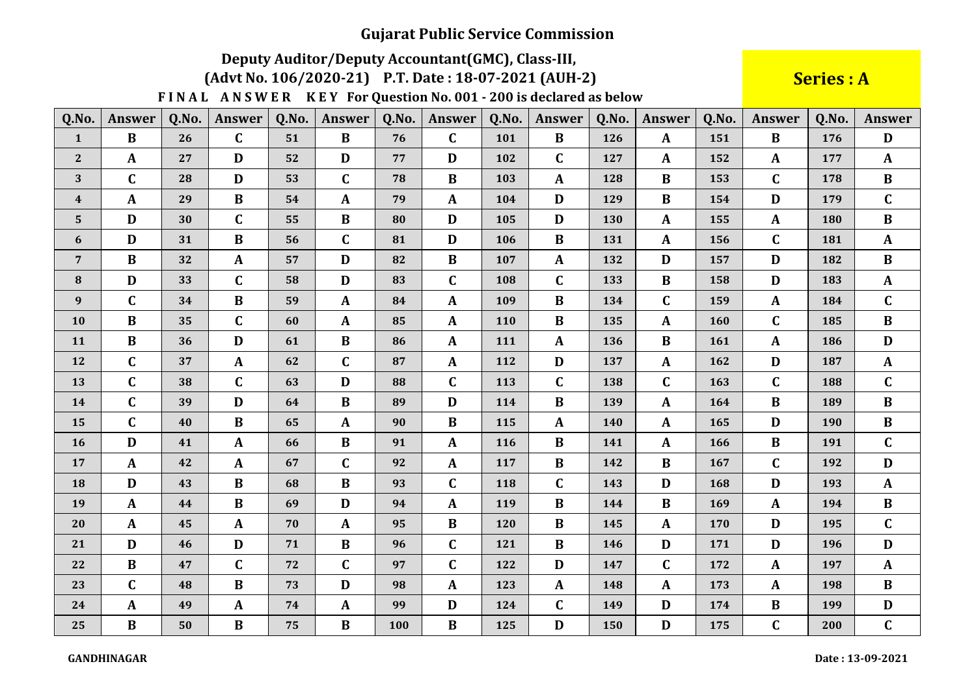# Deputy Auditor/Deputy Accountant(GMC), Class-III,

(Advt No. 106/2020-21) P.T. Date: 18-07-2021 (AUH-2)

### **Series: A**

| Q.No.            | <b>Answer</b> | Q.No. | <b>Answer</b> | Q.No. | <b>Answer</b> | Q.No. | <b>Answer</b> | Q.No.      | <b>Answer</b> | Q.No. | <b>Answer</b> | Q.No. | Answer       | Q.No. | <b>Answer</b> |
|------------------|---------------|-------|---------------|-------|---------------|-------|---------------|------------|---------------|-------|---------------|-------|--------------|-------|---------------|
| $\mathbf{1}$     | $\bf{B}$      | 26    | $\mathbf{C}$  | 51    | $\bf{B}$      | 76    | $\mathbf C$   | 101        | B             | 126   | $\mathbf{A}$  | 151   | $\bf{B}$     | 176   | D             |
| $\bf 2$          | $\mathbf A$   | 27    | D             | 52    | D             | 77    | D             | 102        | $\mathbf C$   | 127   | $\mathbf{A}$  | 152   | $\mathbf{A}$ | 177   | $\mathbf{A}$  |
| $\mathbf{3}$     | $\mathbf C$   | 28    | D             | 53    | $\mathbf C$   | 78    | $\bf{B}$      | 103        | $\mathbf{A}$  | 128   | $\bf{B}$      | 153   | $\mathbf C$  | 178   | $\bf{B}$      |
| $\boldsymbol{4}$ | $\mathbf{A}$  | 29    | $\bf{B}$      | 54    | $\mathbf{A}$  | 79    | A             | 104        | D             | 129   | $\bf{B}$      | 154   | $\mathbf{D}$ | 179   | $\mathbf C$   |
| ${\bf 5}$        | $\mathbf{D}$  | 30    | $\mathbf C$   | 55    | $\bf{B}$      | 80    | $\mathbf D$   | 105        | D             | 130   | $\mathbf{A}$  | 155   | $\mathbf{A}$ | 180   | $\, {\bf B}$  |
| 6                | D             | 31    | $\bf{B}$      | 56    | $\mathbf C$   | 81    | $\mathbf D$   | 106        | $\bf{B}$      | 131   | $\mathbf{A}$  | 156   | $\mathbf C$  | 181   | $\mathbf{A}$  |
| $\overline{7}$   | $\bf{B}$      | 32    | A             | 57    | D             | 82    | $\bf{B}$      | 107        | $\mathbf{A}$  | 132   | D             | 157   | D            | 182   | $\bf{B}$      |
| ${\bf 8}$        | D             | 33    | $\mathbf C$   | 58    | D             | 83    | $\mathbf C$   | 108        | $\mathbf C$   | 133   | $\bf{B}$      | 158   | D            | 183   | $\mathbf{A}$  |
| $\boldsymbol{9}$ | $\mathbf C$   | 34    | B             | 59    | $\mathbf{A}$  | 84    | $\mathbf{A}$  | 109        | B             | 134   | $\mathbf C$   | 159   | A            | 184   | $\mathbf C$   |
| 10               | $\bf{B}$      | 35    | $\mathbf C$   | 60    | $\mathbf{A}$  | 85    | $\mathbf{A}$  | <b>110</b> | B             | 135   | $\mathbf{A}$  | 160   | $\mathbf C$  | 185   | $\bf{B}$      |
| 11               | $\, {\bf B}$  | 36    | $\mathbf D$   | 61    | $\bf{B}$      | 86    | $\mathbf{A}$  | 111        | $\mathbf{A}$  | 136   | $\bf{B}$      | 161   | $\mathbf{A}$ | 186   | $\mathbf{D}$  |
| 12               | $\mathbf C$   | 37    | $\mathbf{A}$  | 62    | $\mathbf C$   | 87    | $\mathbf{A}$  | 112        | D             | 137   | $\mathbf{A}$  | 162   | D            | 187   | $\mathbf{A}$  |
| 13               | $\mathbf C$   | 38    | $\mathbf C$   | 63    | $\mathbf D$   | 88    | $\mathbf C$   | 113        | $\mathbf C$   | 138   | $\mathbf C$   | 163   | $\mathbf C$  | 188   | $\mathbf C$   |
| 14               | $\mathbf C$   | 39    | D             | 64    | $\bf{B}$      | 89    | $\mathbf D$   | 114        | B             | 139   | $\mathbf{A}$  | 164   | $\bf{B}$     | 189   | $\bf{B}$      |
| 15               | $\mathbf C$   | 40    | B             | 65    | $\mathbf{A}$  | 90    | B             | 115        | $\mathbf{A}$  | 140   | $\mathbf{A}$  | 165   | D            | 190   | $\bf{B}$      |
| 16               | D             | 41    | $\mathbf{A}$  | 66    | $\bf{B}$      | 91    | $\mathbf{A}$  | 116        | $\bf{B}$      | 141   | $\mathbf{A}$  | 166   | B            | 191   | $\mathbf C$   |
| 17               | $\mathbf A$   | 42    | $\mathbf{A}$  | 67    | $\mathbf C$   | 92    | $\mathbf{A}$  | 117        | B             | 142   | $\bf{B}$      | 167   | $\mathbf C$  | 192   | D             |
| 18               | $\mathbf{D}$  | 43    | $\bf{B}$      | 68    | $\bf{B}$      | 93    | $\mathbf C$   | 118        | $\mathbf C$   | 143   | D             | 168   | D            | 193   | $\mathbf{A}$  |
| 19               | $\mathbf{A}$  | 44    | B             | 69    | D             | 94    | $\mathbf{A}$  | 119        | $\bf{B}$      | 144   | $\bf{B}$      | 169   | $\mathbf{A}$ | 194   | $\bf{B}$      |
| 20               | $\mathbf{A}$  | 45    | $\mathbf A$   | 70    | $\mathbf{A}$  | 95    | $\, {\bf B}$  | 120        | $\bf{B}$      | 145   | $\mathbf{A}$  | 170   | D            | 195   | $\mathbf C$   |
| 21               | D             | 46    | D             | 71    | $\bf{B}$      | 96    | $\mathbf C$   | 121        | $\bf{B}$      | 146   | D             | 171   | D            | 196   | $\mathbf{D}$  |
| 22               | $\bf{B}$      | 47    | $\mathbf C$   | 72    | $\mathbf C$   | 97    | $\mathbf C$   | 122        | D             | 147   | $\mathbf C$   | 172   | A            | 197   | $\mathbf{A}$  |
| 23               | $\mathbf C$   | 48    | $\bf{B}$      | 73    | D             | 98    | $\mathbf{A}$  | 123        | $\mathbf{A}$  | 148   | $\mathbf{A}$  | 173   | A            | 198   | $\bf{B}$      |
| 24               | $\mathbf{A}$  | 49    | A             | 74    | $\mathbf{A}$  | 99    | D             | 124        | $\mathbf C$   | 149   | D             | 174   | B            | 199   | D             |
| 25               | $\bf{B}$      | 50    | $\bf{B}$      | 75    | $\bf{B}$      | 100   | $\bf{B}$      | 125        | D             | 150   | D             | 175   | $\mathbf C$  | 200   | $\mathbf C$   |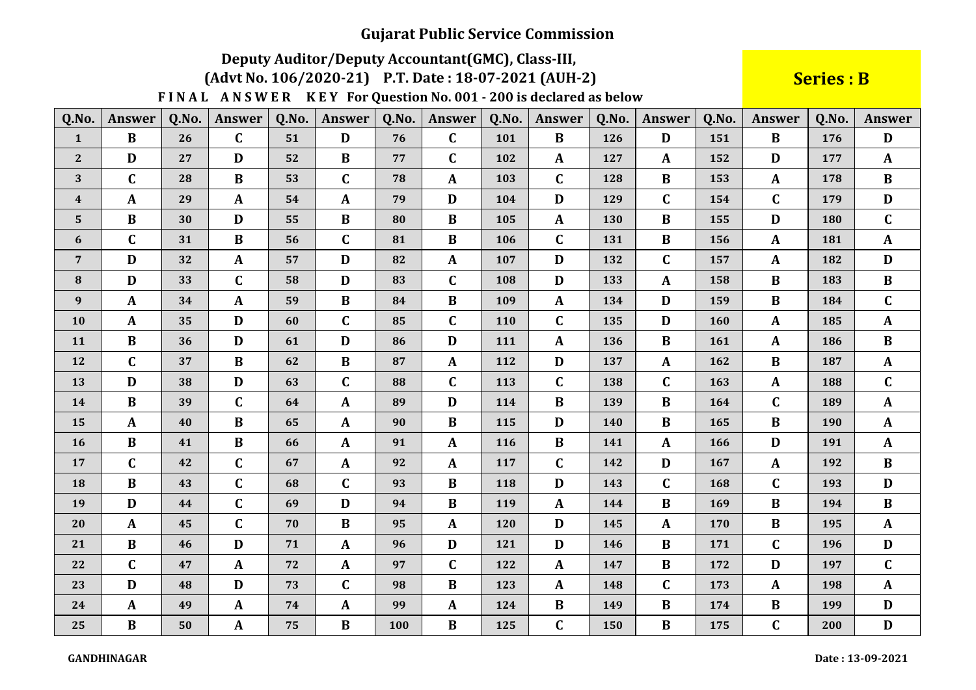# Deputy Auditor/Deputy Accountant(GMC), Class-III,

(Advt No. 106/2020-21) P.T. Date: 18-07-2021 (AUH-2)

### **Series: B**

| Q.No.            | <b>Answer</b> | Q.No. | Answer           | Q.No. | Answer       | Q.No. | Answer       | Q.No. | Answer       | Q.No. | Answer       | Q.No. | Answer       | Q.No. | <b>Answer</b> |
|------------------|---------------|-------|------------------|-------|--------------|-------|--------------|-------|--------------|-------|--------------|-------|--------------|-------|---------------|
| $\mathbf{1}$     | $\bf{B}$      | 26    | $\mathbf C$      | 51    | D            | 76    | $\mathbf C$  | 101   | $\bf{B}$     | 126   | D            | 151   | $\bf{B}$     | 176   | D             |
| $\mathbf{2}$     | $\mathbf{D}$  | 27    | $\mathbf{D}$     | 52    | $\, {\bf B}$ | 77    | $\mathbf C$  | 102   | $\mathbf{A}$ | 127   | A            | 152   | D            | 177   | $\mathbf{A}$  |
| 3                | $\mathbf C$   | 28    | B                | 53    | $\mathbf C$  | 78    | $\mathbf A$  | 103   | $\mathbf C$  | 128   | $\bf{B}$     | 153   | A            | 178   | $\bf{B}$      |
| $\boldsymbol{4}$ | $\mathbf{A}$  | 29    | A                | 54    | $\mathbf{A}$ | 79    | D            | 104   | $\mathbf D$  | 129   | $\mathbf C$  | 154   | $\mathbf C$  | 179   | $\mathbf D$   |
| $5\phantom{.}$   | $\bf{B}$      | 30    | D                | 55    | $\bf{B}$     | 80    | $\bf{B}$     | 105   | $\mathbf{A}$ | 130   | $\bf{B}$     | 155   | D            | 180   | $\mathbf{C}$  |
| 6                | $\mathbf C$   | 31    | $\bf{B}$         | 56    | $\mathbf C$  | 81    | $\bf{B}$     | 106   | $\mathbf C$  | 131   | $\bf{B}$     | 156   | $\mathbf{A}$ | 181   | $\mathbf{A}$  |
| $\overline{7}$   | D             | 32    | $\mathbf{A}$     | 57    | D            | 82    | $\mathbf{A}$ | 107   | D            | 132   | $\mathbf C$  | 157   | $\mathbf{A}$ | 182   | D             |
| ${\bf 8}$        | D             | 33    | $\mathbf C$      | 58    | D            | 83    | $\mathbf C$  | 108   | D            | 133   | $\mathbf{A}$ | 158   | B            | 183   | $\bf{B}$      |
| $\boldsymbol{9}$ | $\mathbf{A}$  | 34    | A                | 59    | $\bf{B}$     | 84    | $\bf{B}$     | 109   | $\mathbf{A}$ | 134   | D            | 159   | $\bf{B}$     | 184   | $\mathbf C$   |
| 10               | $\mathbf{A}$  | 35    | $\mathbf D$      | 60    | $\mathbf C$  | 85    | $\mathbf C$  | 110   | $\mathbf C$  | 135   | $\mathbf{D}$ | 160   | A            | 185   | $\mathbf{A}$  |
| 11               | $\bf{B}$      | 36    | D                | 61    | D            | 86    | D            | 111   | $\mathbf{A}$ | 136   | $\bf{B}$     | 161   | $\mathbf A$  | 186   | $\bf{B}$      |
| 12               | $\mathbf C$   | 37    | $\bf{B}$         | 62    | $\bf{B}$     | 87    | $\mathbf{A}$ | 112   | D            | 137   | $\mathbf{A}$ | 162   | B            | 187   | $\mathbf{A}$  |
| 13               | $\mathbf{D}$  | 38    | $\mathbf{D}$     | 63    | $\mathbf C$  | 88    | $\mathbf C$  | 113   | $\mathbf C$  | 138   | $\mathbf C$  | 163   | A            | 188   | $\mathbf C$   |
| 14               | $\bf{B}$      | 39    | $\mathbf C$      | 64    | $\mathbf{A}$ | 89    | $\mathbf{D}$ | 114   | $\bf{B}$     | 139   | $\bf{B}$     | 164   | $\mathbf C$  | 189   | $\mathbf{A}$  |
| 15               | $\mathbf{A}$  | 40    | $\bf{B}$         | 65    | $\mathbf{A}$ | 90    | $\bf{B}$     | 115   | D            | 140   | $\bf{B}$     | 165   | $\bf{B}$     | 190   | ${\bf A}$     |
| 16               | $\bf{B}$      | 41    | B                | 66    | $\mathbf{A}$ | 91    | $\mathbf{A}$ | 116   | $\bf{B}$     | 141   | $\mathbf{A}$ | 166   | D            | 191   | $\mathbf{A}$  |
| 17               | $\mathbf C$   | 42    | $\mathbf C$      | 67    | $\mathbf{A}$ | 92    | $\mathbf{A}$ | 117   | $\mathbf C$  | 142   | D            | 167   | $\mathbf{A}$ | 192   | $\bf{B}$      |
| 18               | $\bf{B}$      | 43    | $\mathbf C$      | 68    | $\mathbf C$  | 93    | $\bf{B}$     | 118   | D            | 143   | $\mathbf C$  | 168   | $\mathbf C$  | 193   | $\mathbf{D}$  |
| 19               | D             | 44    | $\mathbf C$      | 69    | D            | 94    | $\bf{B}$     | 119   | $\mathbf{A}$ | 144   | $\bf{B}$     | 169   | $\bf{B}$     | 194   | $\bf{B}$      |
| 20               | $\mathbf{A}$  | 45    | $\mathbf C$      | 70    | $\bf{B}$     | 95    | $\mathbf A$  | 120   | D            | 145   | $\mathbf{A}$ | 170   | $\bf{B}$     | 195   | $\mathbf{A}$  |
| 21               | $\bf{B}$      | 46    | $\mathbf D$      | 71    | $\mathbf{A}$ | 96    | $\mathbf{D}$ | 121   | D            | 146   | $\bf{B}$     | 171   | $\mathbf C$  | 196   | $\mathbf{D}$  |
| 22               | $\mathbf C$   | 47    | $\boldsymbol{A}$ | 72    | $\mathbf{A}$ | 97    | $\mathbf C$  | 122   | $\mathbf{A}$ | 147   | $\bf{B}$     | 172   | $\mathbf{D}$ | 197   | $\mathbf C$   |
| 23               | $\mathbf{D}$  | 48    | $\mathbf{D}$     | 73    | $\mathbf C$  | 98    | $\bf{B}$     | 123   | $\mathbf{A}$ | 148   | $\mathbf C$  | 173   | $\mathbf{A}$ | 198   | $\mathbf{A}$  |
| 24               | $\mathbf{A}$  | 49    | A                | 74    | $\mathbf{A}$ | 99    | $\mathbf{A}$ | 124   | $\bf{B}$     | 149   | $\bf{B}$     | 174   | B            | 199   | D             |
| 25               | $\bf{B}$      | 50    | A                | 75    | $\bf{B}$     | 100   | $\bf{B}$     | 125   | $\mathbf C$  | 150   | $\bf{B}$     | 175   | $\mathbf C$  | 200   | $\mathbf{D}$  |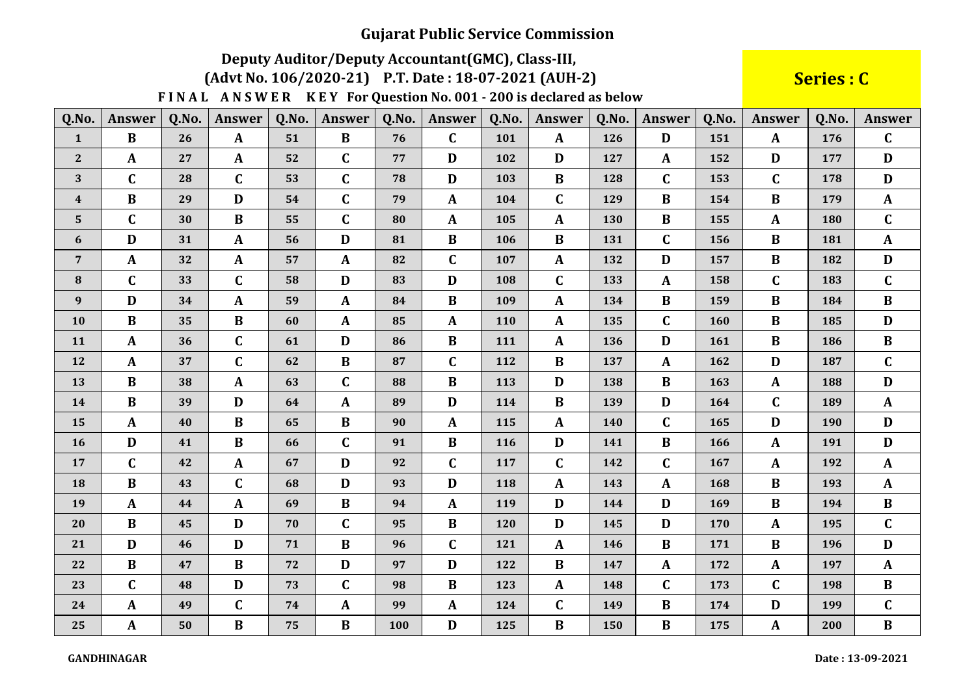# Deputy Auditor/Deputy Accountant(GMC), Class-III,

(Advt No. 106/2020-21) P.T. Date: 18-07-2021 (AUH-2)

Series : C

| Q.No.            | <b>Answer</b> | Q.No. | <b>Answer</b> | Q.No. | Answer       | Q.No. | Answer           | 0.No. | <b>Answer</b> | Q.No. | <b>Answer</b> | Q.No. | Answer       | Q.No. | <b>Answer</b> |
|------------------|---------------|-------|---------------|-------|--------------|-------|------------------|-------|---------------|-------|---------------|-------|--------------|-------|---------------|
| $\mathbf{1}$     | $\bf{B}$      | 26    | $\mathbf{A}$  | 51    | $\bf{B}$     | 76    | $\mathbf C$      | 101   | $\mathbf{A}$  | 126   | D             | 151   | $\mathbf{A}$ | 176   | $\mathbf C$   |
| $\mathbf{2}$     | $\mathbf{A}$  | 27    | $\mathbf{A}$  | 52    | $\mathbf C$  | 77    | $\mathbf D$      | 102   | D             | 127   | $\mathbf{A}$  | 152   | D            | 177   | D             |
| 3                | $\mathbf C$   | 28    | $\mathbf C$   | 53    | $\mathbf C$  | 78    | D                | 103   | $\bf{B}$      | 128   | $\mathbf C$   | 153   | $\mathbf C$  | 178   | D             |
| $\boldsymbol{4}$ | $\bf{B}$      | 29    | $\mathbf D$   | 54    | $\mathbf C$  | 79    | $\pmb{A}$        | 104   | $\mathbf C$   | 129   | $\bf{B}$      | 154   | $\, {\bf B}$ | 179   | $\mathbf{A}$  |
| $\overline{5}$   | $\mathbf C$   | 30    | $\bf{B}$      | 55    | $\mathbf C$  | 80    | $\mathbf{A}$     | 105   | $\mathbf{A}$  | 130   | $\bf{B}$      | 155   | $\mathbf{A}$ | 180   | $\mathbf C$   |
| 6                | D             | 31    | $\mathbf A$   | 56    | D            | 81    | $\, {\bf B}$     | 106   | $\bf{B}$      | 131   | $\mathbf C$   | 156   | $\bf{B}$     | 181   | $\mathbf{A}$  |
| $\overline{7}$   | $\mathbf{A}$  | 32    | $\mathbf A$   | 57    | $\mathbf{A}$ | 82    | $\mathbf C$      | 107   | $\mathbf{A}$  | 132   | D             | 157   | $\bf{B}$     | 182   | $\mathbf{D}$  |
| $\bf{8}$         | $\mathbf C$   | 33    | $\mathbf C$   | 58    | D            | 83    | D                | 108   | $\mathbf C$   | 133   | $\mathbf{A}$  | 158   | $\mathbf C$  | 183   | $\mathbf C$   |
| $\boldsymbol{9}$ | D             | 34    | $\mathbf{A}$  | 59    | $\mathbf{A}$ | 84    | $\bf{B}$         | 109   | $\mathbf{A}$  | 134   | $\bf{B}$      | 159   | $\bf{B}$     | 184   | $\bf{B}$      |
| 10               | $\bf{B}$      | 35    | $\bf{B}$      | 60    | $\mathbf{A}$ | 85    | A                | 110   | $\mathbf{A}$  | 135   | $\mathbf C$   | 160   | $\bf{B}$     | 185   | D             |
| 11               | $\mathbf A$   | 36    | $\mathbf C$   | 61    | D            | 86    | $\, {\bf B}$     | 111   | $\mathbf{A}$  | 136   | D             | 161   | $\bf{B}$     | 186   | $\bf{B}$      |
| 12               | $\mathbf{A}$  | 37    | $\mathbf C$   | 62    | $\bf{B}$     | 87    | $\mathbf C$      | 112   | $\bf{B}$      | 137   | $\mathbf{A}$  | 162   | D            | 187   | $\mathbf C$   |
| 13               | $\bf{B}$      | 38    | $\mathbf A$   | 63    | $\mathbf C$  | 88    | $\bf{B}$         | 113   | D             | 138   | $\bf{B}$      | 163   | $\mathbf A$  | 188   | D             |
| 14               | $\bf{B}$      | 39    | $\mathbf D$   | 64    | $\mathbf{A}$ | 89    | $\mathbf{D}$     | 114   | $\bf{B}$      | 139   | D             | 164   | $\mathbf C$  | 189   | $\mathbf{A}$  |
| 15               | $\mathbf{A}$  | 40    | $\, {\bf B}$  | 65    | $\bf{B}$     | 90    | $\boldsymbol{A}$ | 115   | $\mathbf{A}$  | 140   | $\mathbf C$   | 165   | D            | 190   | $\mathbf{D}$  |
| 16               | $\mathbf D$   | 41    | $\, {\bf B}$  | 66    | $\mathbf C$  | 91    | $\bf{B}$         | 116   | D             | 141   | $\bf{B}$      | 166   | $\mathbf A$  | 191   | $\mathbf D$   |
| 17               | $\mathbf C$   | 42    | $\mathbf{A}$  | 67    | D            | 92    | $\mathbf C$      | 117   | $\mathbf C$   | 142   | $\mathbf C$   | 167   | $\mathbf A$  | 192   | $\mathbf{A}$  |
| 18               | $\bf{B}$      | 43    | $\mathbf C$   | 68    | D            | 93    | D                | 118   | $\mathbf{A}$  | 143   | $\mathbf{A}$  | 168   | $\bf{B}$     | 193   | $\mathbf{A}$  |
| 19               | $\mathbf{A}$  | 44    | $\mathbf{A}$  | 69    | $\bf{B}$     | 94    | $\mathbf{A}$     | 119   | D             | 144   | D             | 169   | $\bf{B}$     | 194   | $\bf{B}$      |
| 20               | $\bf{B}$      | 45    | $\mathbf D$   | 70    | $\mathbf C$  | 95    | $\bf{B}$         | 120   | D             | 145   | D             | 170   | $\mathbf A$  | 195   | $\mathbf C$   |
| 21               | D             | 46    | $\mathbf D$   | 71    | $\bf{B}$     | 96    | $\mathbf C$      | 121   | $\mathbf{A}$  | 146   | $\bf{B}$      | 171   | $\bf{B}$     | 196   | $\mathbf{D}$  |
| 22               | $\bf{B}$      | 47    | $\, {\bf B}$  | 72    | D            | 97    | $\mathbf{D}$     | 122   | $\, {\bf B}$  | 147   | $\mathbf A$   | 172   | $\mathbf A$  | 197   | $\mathbf{A}$  |
| 23               | $\mathbf C$   | 48    | $\mathbf{D}$  | 73    | $\mathbf C$  | 98    | $\, {\bf B}$     | 123   | $\mathbf{A}$  | 148   | $\mathbf C$   | 173   | $\mathbf C$  | 198   | $\bf{B}$      |
| 24               | $\mathbf{A}$  | 49    | $\mathbf C$   | 74    | A            | 99    | $\mathbf{A}$     | 124   | $\mathbf C$   | 149   | $\bf{B}$      | 174   | D            | 199   | $\mathbf C$   |
| 25               | $\mathbf{A}$  | 50    | $\bf{B}$      | 75    | $\bf{B}$     | 100   | $\mathbf D$      | 125   | $\bf{B}$      | 150   | $\bf{B}$      | 175   | $\mathbf{A}$ | 200   | $\bf{B}$      |